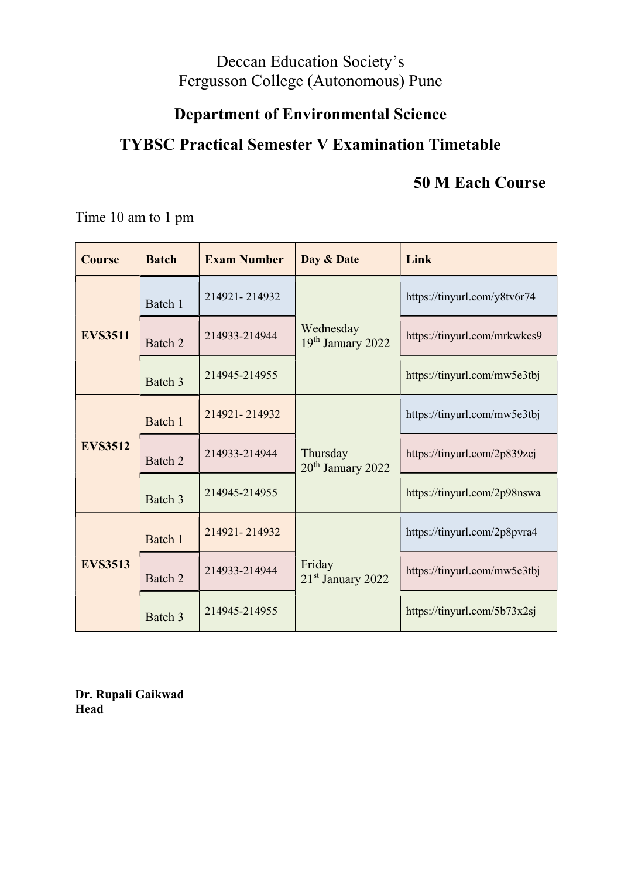## Deccan Education Society's Fergusson College (Autonomous) Pune

# Department of Environmental Science

## TYBSC Practical Semester V Examination Timetable

## 50 M Each Course

Time 10 am to 1 pm

| <b>Course</b>  | <b>Batch</b> | <b>Exam Number</b> | Day & Date                                | Link                         |
|----------------|--------------|--------------------|-------------------------------------------|------------------------------|
|                | Batch 1      | 214921-214932      |                                           | https://tinyurl.com/y8tv6r74 |
| <b>EVS3511</b> | Batch 2      | 214933-214944      | Wednesday<br>19th January 2022            | https://tinyurl.com/mrkwkcs9 |
|                | Batch 3      | 214945-214955      |                                           | https://tinyurl.com/mw5e3tbj |
| <b>EVS3512</b> | Batch 1      | 214921-214932      | Thursday<br>20 <sup>th</sup> January 2022 | https://tinyurl.com/mw5e3tbj |
|                | Batch 2      | 214933-214944      |                                           | https://tinyurl.com/2p839zcj |
|                | Batch 3      | 214945-214955      |                                           | https://tinyurl.com/2p98nswa |
|                | Batch 1      | 214921-214932      |                                           | https://tinyurl.com/2p8pvra4 |
| <b>EVS3513</b> | Batch 2      | 214933-214944      | Friday<br>21 <sup>st</sup> January 2022   | https://tinyurl.com/mw5e3tbj |
|                | Batch 3      | 214945-214955      |                                           | https://tinyurl.com/5b73x2sj |

Dr. Rupali Gaikwad Head